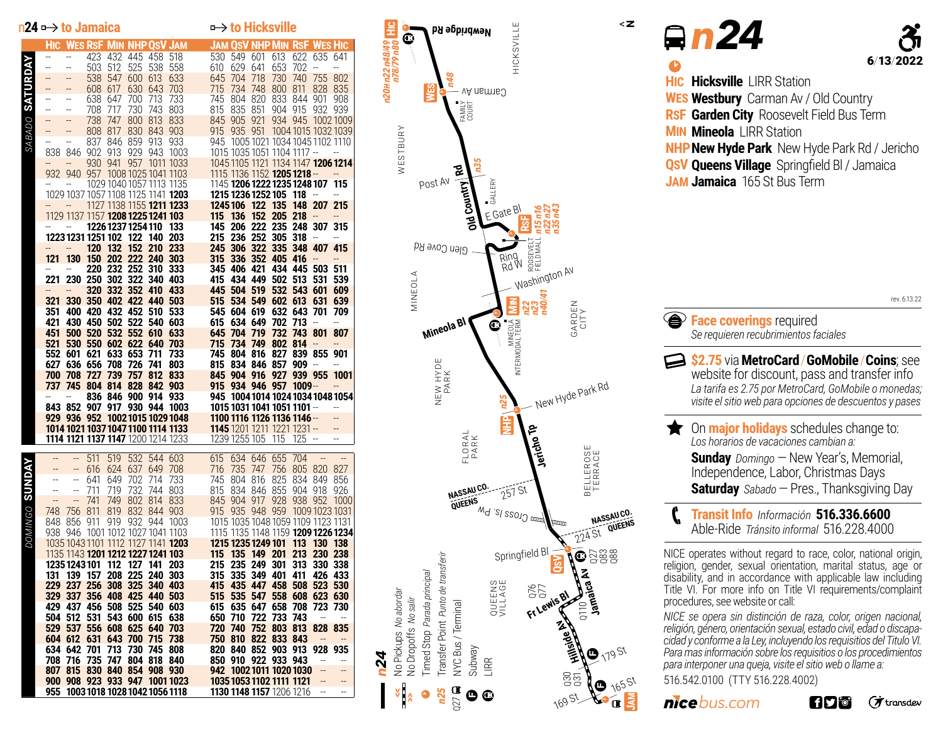|                | $n24 \rightarrow$ to Jamaica    |                                          |             |            | $\rightarrow$ to Hicksville       |            |                                                                                                                                       |                                    |                |                                                    |                 |                        |                          |                                              |
|----------------|---------------------------------|------------------------------------------|-------------|------------|-----------------------------------|------------|---------------------------------------------------------------------------------------------------------------------------------------|------------------------------------|----------------|----------------------------------------------------|-----------------|------------------------|--------------------------|----------------------------------------------|
|                |                                 |                                          |             |            |                                   |            | <b>HIC WES RSF MIN NHP OSV JAM</b>                                                                                                    | <b>JAM OSV NHP MIN RSF WES HIC</b> |                |                                                    |                 |                        |                          |                                              |
|                | --                              | --                                       | 423         |            | 432 445 458                       |            | 518                                                                                                                                   | 530                                | 549 601        |                                                    | 613             | 622                    | 635 641                  |                                              |
|                |                                 | $\overline{a}$                           | 503         | 512        | 525                               | 538        | 558                                                                                                                                   | 610                                | 629            | 641                                                | 653             | 702                    | $\overline{a}$           | $\overline{a}$                               |
|                | --                              | --                                       | 538         | 547        | 600 613                           |            | 633                                                                                                                                   | 645                                | 704            | 718                                                | 730             | 740                    | 755                      | 802                                          |
|                | --                              |                                          | 608         | 617        | 630 643                           |            | 703                                                                                                                                   | 715                                | 734            | 748                                                | 800             | 811                    | 828 835                  |                                              |
|                | --                              | $-$                                      | 638         | 647        | 700                               | 713        | 733                                                                                                                                   | 745                                | 804 820        |                                                    | 833             | 844 901                |                          | 908                                          |
|                | $\overline{a}$                  | $\overline{a}$                           | 708         | 717        | 730                               | 743        | 803                                                                                                                                   | 815                                | 835            | -851                                               | 904 915         |                        | 932 939                  |                                              |
| SABADO         |                                 | --                                       | 738         | 747        | 800 813                           |            | 833                                                                                                                                   | 845 905 921                        |                |                                                    | 934 945         |                        |                          | 10021009                                     |
|                | --                              | --                                       | 808         | 817        | 830 843                           |            | 903                                                                                                                                   | 915                                | 935 951        |                                                    |                 |                        |                          | 1004 1015 1032 1039                          |
|                |                                 | --                                       | 837         | 846        | 859                               | 913        | 933                                                                                                                                   |                                    |                | 945 1005 1021 1034 1045 1102 1110                  |                 |                        |                          |                                              |
|                | 838<br>$\overline{\phantom{a}}$ | 846                                      | 902         | 913        | 929                               | 943        | 1003                                                                                                                                  |                                    |                | 1015 1035 1051 1104 1117 --                        |                 |                        |                          | $\overline{\phantom{a}}$                     |
|                |                                 | --                                       | 930         | 941        | 957                               |            | 1011 1033<br>932 940 957 1008 1025 1041 1103                                                                                          | 1115 1136 1152 <b>1205 1218</b> -- |                |                                                    |                 |                        |                          | 1045 1105 1121 1134 1147 1206 1214<br>$\sim$ |
|                | $\overline{a}$                  | --                                       |             |            |                                   |            | 1029 1040 1057 1113 1135                                                                                                              | 1145 1206 1222 1235 1248 107 115   |                |                                                    |                 |                        |                          |                                              |
|                |                                 |                                          |             |            |                                   |            | 1029 1037 1057 1108 1125 1141 1203                                                                                                    | 1215 1236 1252 105 118             |                |                                                    |                 |                        | $\overline{a}$           | $\overline{a}$                               |
|                |                                 |                                          |             |            |                                   |            | 1127 1138 1155 <b>1211 1233</b>                                                                                                       |                                    |                | 1245 106 122 135                                   |                 |                        | 148 207 215              |                                              |
|                |                                 | 1129 1137 1157 <b>1208 1225 1241 103</b> |             |            |                                   |            |                                                                                                                                       | 115 136                            |                |                                                    | 152 205 218     |                        | $\overline{\phantom{a}}$ | $\overline{\phantom{a}}$                     |
|                |                                 | $\overline{\phantom{a}}$                 |             |            | 1226 1237 1254 110                |            | 133                                                                                                                                   | 145 206 222 235 248 307 315        |                |                                                    |                 |                        |                          |                                              |
|                |                                 | 1223 1231 1251 102 122 140               |             |            |                                   |            | 203                                                                                                                                   |                                    |                | 215 236 252 305 318                                |                 |                        | $\overline{\phantom{a}}$ | $\overline{a}$                               |
|                |                                 |                                          | 120         | 132        | 152                               | <b>210</b> | 233                                                                                                                                   |                                    |                | 245 306 322 335 348 407 415                        |                 |                        |                          |                                              |
|                | 121                             | 130                                      |             |            | 150 202 222 240 303               |            |                                                                                                                                       | 315 336 352 405 416                |                |                                                    |                 |                        | $\overline{\phantom{a}}$ | $\overline{\phantom{a}}$                     |
|                |                                 | --                                       |             |            | 220 232 252 310                   |            | 333                                                                                                                                   |                                    | 345 406 421    |                                                    | 434 445 503 511 |                        |                          |                                              |
|                | 221                             |                                          |             |            | 230 250 302 322 340 403           |            |                                                                                                                                       | 415                                |                | 434 449 502 513                                    |                 |                        | 531                      | -539                                         |
|                |                                 |                                          | 320         | 332 352    |                                   | 410        | 433                                                                                                                                   |                                    |                | 445 504 519 532 543 601                            |                 |                        |                          | 609                                          |
|                | 321                             | 330 350 402 422 440 503                  |             |            |                                   |            |                                                                                                                                       | 515                                |                | 534 549 602 613                                    |                 |                        | 631                      | 639                                          |
|                | 351                             | 400 420 432 452 510                      |             |            |                                   |            | 533                                                                                                                                   |                                    |                | 545 604 619 632 643                                |                 |                        | 701                      | 709                                          |
|                | 421                             | 430 450 502 522 540                      |             |            |                                   |            | 603                                                                                                                                   | 615                                | 634 649        |                                                    | 702 713         |                        | $\overline{\phantom{a}}$ | $\overline{a}$                               |
|                | 451                             | 500 520                                  |             |            | 532 552 610                       |            | 633                                                                                                                                   | 645                                | 704 719        |                                                    | 732             | 743                    | 801                      | 807                                          |
|                | 521                             | 530 550 602 622 640                      |             |            |                                   |            | 703                                                                                                                                   | 715                                |                | 734 749 802 814                                    |                 |                        | $\overline{\phantom{a}}$ | --                                           |
|                |                                 | 552 601 621                              |             | 633 653    |                                   | 711        | 733                                                                                                                                   |                                    |                | 745 804 816 827 839 855                            |                 |                        |                          | 901<br>$\overline{a}$                        |
|                | 700                             | 627 636 656 708                          | 708 727 739 |            | 726 741<br>757 812                |            | 803<br>833                                                                                                                            |                                    |                | 815 834 846 857 909<br>845 904 916 927 939 955     |                 |                        | $\sim$                   | 1001                                         |
|                | 737                             | 745 804 814 828 842 903                  |             |            |                                   |            |                                                                                                                                       | 915 934 946 957 1009 --            |                |                                                    |                 |                        |                          | $\overline{\phantom{a}}$                     |
|                |                                 |                                          |             |            |                                   |            | 836 846 900 914 933 945 10041014 1024 1034 1048 1054                                                                                  |                                    |                |                                                    |                 |                        |                          |                                              |
|                |                                 |                                          |             |            |                                   |            | 843 852 907 917 930 944 1003                                                                                                          | 1015 1031 1041 1051 1101 --        |                |                                                    |                 |                        |                          | $\overline{\phantom{a}}$                     |
|                |                                 |                                          |             |            |                                   |            | <b>929 936 952 1002 1015 1029 1048 1100 1116 1126 1136 1146 --<br/>1014 1021 1037 1047 1100 1114 1133 1145 1201 1211 1221 1231 --</b> |                                    |                |                                                    |                 |                        |                          | $\overline{\phantom{a}}$                     |
|                |                                 |                                          |             |            |                                   |            |                                                                                                                                       |                                    |                |                                                    |                 |                        |                          | $\overline{\phantom{a}}$                     |
|                |                                 |                                          |             |            |                                   |            | <b>1114 1121 1137 1147</b> 1200 1214 1233 1239 1255 105 115 125 -                                                                     |                                    |                |                                                    |                 |                        |                          | $\overline{\phantom{a}}$                     |
|                |                                 |                                          |             |            |                                   |            |                                                                                                                                       |                                    |                |                                                    |                 |                        |                          |                                              |
|                | $-$                             | --                                       | 511         | 519        | 532                               | 544        | 603                                                                                                                                   | 615                                | 634            | 646 655                                            |                 | 704                    | $\overline{\phantom{a}}$ |                                              |
| <b>SUNDAY</b>  | ÷                               | ÷                                        | 616         | 624        | 637                               | 649        | 708                                                                                                                                   | 716                                | 735<br>804 816 | 747                                                |                 | 756 805 820<br>834 849 |                          | 827                                          |
|                | $-$<br>$-$                      | $\qquad \qquad \blacksquare$             | 641<br>711  | 649<br>719 | 702<br>732                        | 714<br>744 | 733<br>803                                                                                                                            | 745<br>815                         | 834            | 846 855                                            | 825             | 904                    | 918                      | 856<br>926                                   |
|                | $\overline{a}$                  | --                                       | 741         | 749        | 802                               | 814        | 833                                                                                                                                   | 845                                |                | 904 917 928                                        |                 | 938 952                |                          | 1000                                         |
|                | 748                             | 756                                      | 811         | 819        | 832                               | 844        | 903                                                                                                                                   | 915 935 948 959                    |                |                                                    |                 |                        | 1009 1023 1031           |                                              |
| <b>DOMINGO</b> | 848.                            | 856                                      | 911         | 919        | 932 944                           |            | 1003                                                                                                                                  | 1015 1035 1048 1059 1109 1123 1131 |                |                                                    |                 |                        |                          |                                              |
|                |                                 | 938 946                                  |             |            |                                   |            | 1001 1012 1027 1041 1103                                                                                                              |                                    |                |                                                    |                 |                        |                          | 1115 1135 1148 1159 1209 1226 1234           |
|                |                                 |                                          |             |            |                                   |            | 1035 1043 1101 1112 1127 1141 1203                                                                                                    | 1215 1235 1249 101 113 130 138     |                |                                                    |                 |                        |                          |                                              |
|                |                                 | 1135 1143 1201 1212 1227 1241 103        |             |            |                                   |            |                                                                                                                                       | 115                                |                | 135 149 201 213 230 238                            |                 |                        |                          |                                              |
|                |                                 | 1235 1243 101                            |             | 112        | 127 141                           |            | 203                                                                                                                                   | 215                                |                | 235 249 301                                        |                 | 313                    | 330 338                  |                                              |
|                | 131                             | 139 157                                  |             |            | 208 225 240 303                   |            |                                                                                                                                       | 315                                |                | 335 349 401                                        |                 | 411                    | 426 433                  |                                              |
|                |                                 | 229 237 256 308 325 340 403              |             |            |                                   |            |                                                                                                                                       | 415                                |                | 435 447 458 508 523 530                            |                 |                        |                          |                                              |
|                |                                 | 329 337 356 408 425 440 503              |             |            |                                   |            |                                                                                                                                       | 515                                |                | 535 547 558 608 623 630                            |                 |                        |                          |                                              |
|                |                                 | 429 437 456 508 525 540 603              |             |            |                                   |            |                                                                                                                                       |                                    |                | 615 635 647 658 708                                |                 |                        | 723 730                  |                                              |
|                |                                 | 504 512                                  | 531         |            | 543 600 615                       |            | 638                                                                                                                                   | 650 710                            |                | 722 733 743                                        |                 |                        |                          |                                              |
|                |                                 | 529 537 556 608 625 640 703              |             |            |                                   |            |                                                                                                                                       | 720 740                            |                | 752 803 813                                        |                 |                        | 828 835                  |                                              |
|                |                                 | 604 612 631<br>634 642 701               |             |            | 643 700 715<br>713 730 745 808    |            | 738                                                                                                                                   |                                    |                | 750 810 822 833 843<br>820 840 852 903 913 928 935 |                 |                        | $\overline{\phantom{a}}$ |                                              |
|                |                                 | 708 716 735 747 804 818 840              |             |            |                                   |            |                                                                                                                                       |                                    |                | 850 910 922 933 943                                |                 |                        |                          |                                              |
|                |                                 | 807 815 830 840 854 908 930              |             |            |                                   |            |                                                                                                                                       |                                    |                | 942 10021011 1020 1030                             |                 |                        |                          |                                              |
|                |                                 |                                          |             |            |                                   |            | 900 908 923 933 947 1001 1023                                                                                                         |                                    |                | 1035 1053 1102 1111 1121                           |                 |                        |                          |                                              |
|                |                                 |                                          |             |            | 955 1003 1018 1028 1042 1056 1118 |            |                                                                                                                                       |                                    |                | 1130 1148 1157 1206 1216                           |                 |                        |                          |                                              |



| ln 24<br>6/13/20<br><b>HIC Hicksville LIRR Station</b><br><b>WES Westbury</b> Carman Av / Old Country<br>RSF Garden City Roosevelt Field Bus Term<br><b>MIN Mineola LIRR Station</b><br><b>NHP New Hyde Park</b> New Hyde Park Rd / Jericho<br><b>QSV Queens Village</b> Springfield BI / Jamaica |
|---------------------------------------------------------------------------------------------------------------------------------------------------------------------------------------------------------------------------------------------------------------------------------------------------|
| JAM Jamaica 165 St Bus Term                                                                                                                                                                                                                                                                       |
| $\sqrt{2}$ Face coverings required                                                                                                                                                                                                                                                                |
| Se requieren recubrimientos faciales<br>website for discount, pass and transfer info                                                                                                                                                                                                              |
| rev. 6.13.22<br>\$2.75 via MetroCard / GoMobile / Coins; see<br>La tarifa es 2.75 por MetroCard, GoMobile o monedas;<br>visite el sitio web para opciones de descuentos y pases                                                                                                                   |
| <b>The Online of Solution Control</b> on <b>major holidays</b> schedules change to:<br>Los horarios de vacaciones cambian a:                                                                                                                                                                      |
| <b>Sunday</b> Domingo - New Year's, Memorial,                                                                                                                                                                                                                                                     |
| Independence, Labor, Christmas Days                                                                                                                                                                                                                                                               |
| <b>Saturday</b> Sabado – Pres., Thanksgiving Day<br>Transit Info Información 516.336.6600<br>Able-Ride Tránsito informal 516.228.4000                                                                                                                                                             |

*cidad y conforme a la Ley, incluyendo los requisitios del Titulo VI. Para mas información sobre los requisitios o los procedimientos para interponer una queja, visite el sitio web o llame a:* 516.542.0100 (TTY 516.228.4002)

*hicebus.com* 

**600** *f* transdev